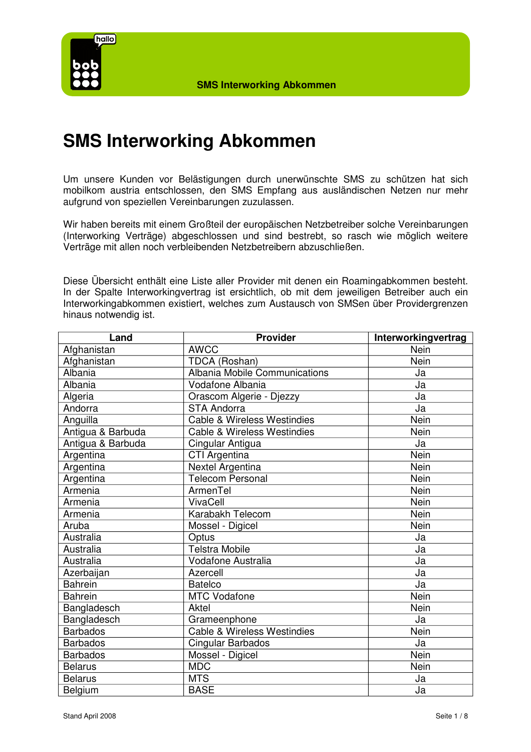

Um unsere Kunden vor Belästigungen durch unerwünschte SMS zu schützen hat sich mobilkom austria entschlossen, den SMS Empfang aus ausländischen Netzen nur mehr aufgrund von speziellen Vereinbarungen zuzulassen.

Wir haben bereits mit einem Großteil der europäischen Netzbetreiber solche Vereinbarungen (Interworking Verträge) abgeschlossen und sind bestrebt, so rasch wie möglich weitere Verträge mit allen noch verbleibenden Netzbetreibern abzuschließen.

Diese Übersicht enthält eine Liste aller Provider mit denen ein Roamingabkommen besteht. In der Spalte Interworkingvertrag ist ersichtlich, ob mit dem jeweiligen Betreiber auch ein Interworkingabkommen existiert, welches zum Austausch von SMSen über Providergrenzen hinaus notwendig ist.

| Land              | <b>Provider</b>                        | Interworkingvertrag |
|-------------------|----------------------------------------|---------------------|
| Afghanistan       | <b>AWCC</b>                            | Nein                |
| Afghanistan       | TDCA (Roshan)                          | <b>Nein</b>         |
| Albania           | <b>Albania Mobile Communications</b>   | Ja                  |
| Albania           | Vodafone Albania                       | Ja                  |
| Algeria           | Orascom Algerie - Djezzy               | Ja                  |
| Andorra           | <b>STA Andorra</b>                     | Ja                  |
| Anguilla          | Cable & Wireless Westindies            | Nein                |
| Antigua & Barbuda | Cable & Wireless Westindies            | Nein                |
| Antigua & Barbuda | Cingular Antigua                       | Ja                  |
| Argentina         | CTI Argentina                          | Nein                |
| Argentina         | Nextel Argentina                       | Nein                |
| Argentina         | <b>Telecom Personal</b>                | Nein                |
| Armenia           | ArmenTel                               | Nein                |
| Armenia           | VivaCell                               | Nein                |
| Armenia           | Karabakh Telecom                       | Nein                |
| Aruba             | Mossel - Digicel                       | Nein                |
| Australia         | Optus                                  | Ja                  |
| Australia         | <b>Telstra Mobile</b>                  | Ja                  |
| Australia         | <b>Vodafone Australia</b>              | Ja                  |
| Azerbaijan        | Azercell                               | Ja                  |
| <b>Bahrein</b>    | <b>Batelco</b>                         | Ja                  |
| <b>Bahrein</b>    | <b>MTC Vodafone</b>                    | Nein                |
| Bangladesch       | Aktel                                  | Nein                |
| Bangladesch       | Grameenphone                           | Ja                  |
| <b>Barbados</b>   | <b>Cable &amp; Wireless Westindies</b> | Nein                |
| <b>Barbados</b>   | Cingular Barbados                      | Ja                  |
| <b>Barbados</b>   | Mossel - Digicel                       | Nein                |
| <b>Belarus</b>    | <b>MDC</b>                             | Nein                |
| <b>Belarus</b>    | <b>MTS</b>                             | Ja                  |
| Belgium           | <b>BASE</b>                            | Ja                  |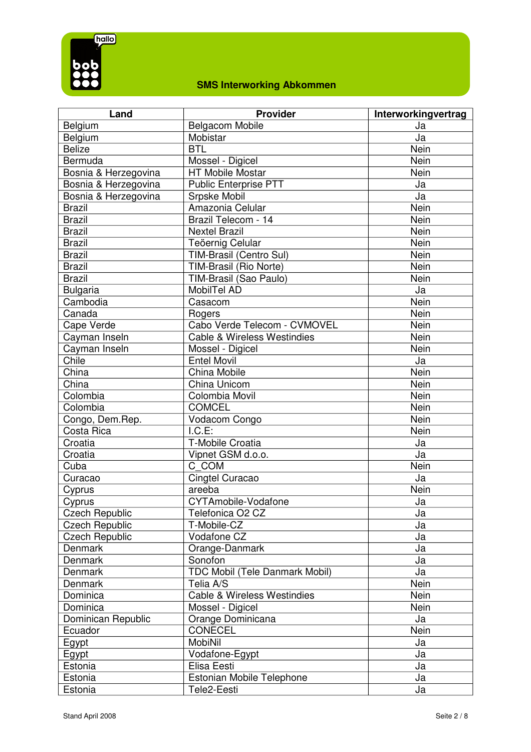

| Land                  | <b>Provider</b>                        | Interworkingvertrag |
|-----------------------|----------------------------------------|---------------------|
| Belgium               | <b>Belgacom Mobile</b>                 | Ja                  |
| Belgium               | Mobistar                               | Ja                  |
| <b>Belize</b>         | <b>BTL</b>                             | Nein                |
| Bermuda               | Mossel - Digicel                       | Nein                |
| Bosnia & Herzegovina  | <b>HT Mobile Mostar</b>                | Nein                |
| Bosnia & Herzegovina  | Public Enterprise PTT                  | Ja                  |
| Bosnia & Herzegovina  | Srpske Mobil                           | Ja                  |
| <b>Brazil</b>         | Amazonia Celular                       | Nein                |
| <b>Brazil</b>         | Brazil Telecom - 14                    | Nein                |
| <b>Brazil</b>         | <b>Nextel Brazil</b>                   | Nein                |
| <b>Brazil</b>         | Teöernig Celular                       | Nein                |
| <b>Brazil</b>         | TIM-Brasil (Centro Sul)                | Nein                |
| <b>Brazil</b>         | TIM-Brasil (Rio Norte)                 | Nein                |
| <b>Brazil</b>         | TIM-Brasil (Sao Paulo)                 | Nein                |
| <b>Bulgaria</b>       | MobilTel AD                            | Ja                  |
| Cambodia              | Casacom                                | Nein                |
| Canada                | Rogers                                 | Nein                |
| Cape Verde            | Cabo Verde Telecom - CVMOVEL           | Nein                |
| Cayman Inseln         | <b>Cable &amp; Wireless Westindies</b> | Nein                |
| Cayman Inseln         | Mossel - Digicel                       | Nein                |
| Chile                 | <b>Entel Movil</b>                     | Ja                  |
| China                 | China Mobile                           | Nein                |
| China                 | China Unicom                           | Nein                |
| Colombia              | Colombia Movil                         | Nein                |
| Colombia              | <b>COMCEL</b>                          | Nein                |
| Congo, Dem.Rep.       | Vodacom Congo                          | Nein                |
| Costa Rica            | I.C.E:                                 | Nein                |
| Croatia               | <b>T-Mobile Croatia</b>                | Ja                  |
| Croatia               | Vipnet GSM d.o.o.                      | Ja                  |
| Cuba                  | C COM                                  | Nein                |
| Curacao               | Cingtel Curacao                        | Ja                  |
| Cyprus                | areeba                                 | Nein                |
| Cyprus                | <b>CYTAmobile-Vodafone</b>             | Ja                  |
| <b>Czech Republic</b> | Telefonica O2 CZ                       | Ja                  |
| <b>Czech Republic</b> | T-Mobile-CZ                            | Ja                  |
| <b>Czech Republic</b> | Vodafone CZ                            | Ja                  |
| Denmark               | Orange-Danmark                         | Ja                  |
| Denmark               | Sonofon                                | Ja                  |
| Denmark               | TDC Mobil (Tele Danmark Mobil)         | Ja                  |
| <b>Denmark</b>        | Telia A/S                              | Nein                |
| Dominica              | <b>Cable &amp; Wireless Westindies</b> | Nein                |
| Dominica              | Mossel - Digicel                       | Nein                |
| Dominican Republic    | Orange Dominicana                      | Ja                  |
| Ecuador               | <b>CONECEL</b>                         | Nein                |
| Egypt                 | <b>MobiNil</b>                         | Ja                  |
| Egypt                 | Vodafone-Egypt                         | Ja                  |
| Estonia               | Elisa Eesti                            | Ja                  |
| Estonia               | Estonian Mobile Telephone              | Ja                  |
| Estonia               | Tele2-Eesti                            | Ja                  |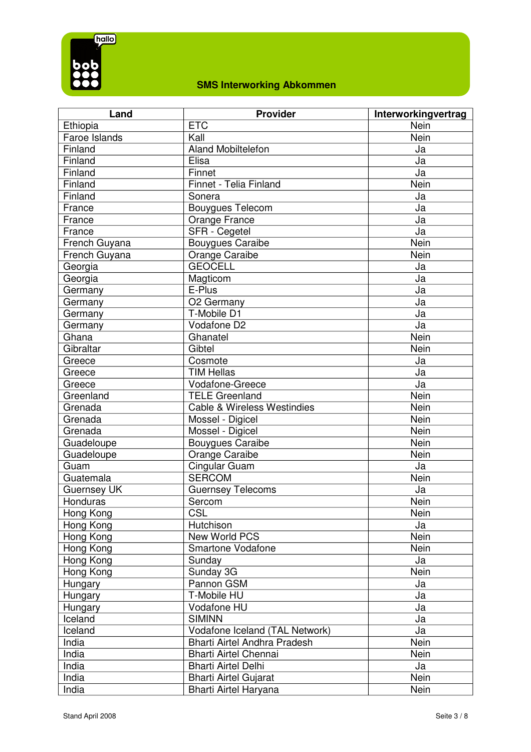

| Land               | <b>Provider</b>                        | Interworkingvertrag |
|--------------------|----------------------------------------|---------------------|
| Ethiopia           | <b>ETC</b>                             | <b>Nein</b>         |
| Faroe Islands      | Kall                                   | Nein                |
| Finland            | <b>Aland Mobiltelefon</b>              | Ja                  |
| Finland            | Elisa                                  | Ja                  |
| Finland            | Finnet                                 | Ja                  |
| Finland            | Finnet - Telia Finland                 | Nein                |
| Finland            | Sonera                                 | Ja                  |
| France             | <b>Bouygues Telecom</b>                | Ja                  |
| France             | Orange France                          | Ja                  |
| France             | SFR - Cegetel                          | Ja                  |
| French Guyana      | <b>Bouygues Caraibe</b>                | Nein                |
| French Guyana      | <b>Orange Caraibe</b>                  | Nein                |
| Georgia            | <b>GEOCELL</b>                         | Ja                  |
| Georgia            | Magticom                               | Ja                  |
| Germany            | E-Plus                                 | Ja                  |
| Germany            | O <sub>2</sub> Germany                 | Ja                  |
| Germany            | T-Mobile D1                            | Ja                  |
| Germany            | Vodafone D2                            | Ja                  |
| Ghana              | Ghanatel                               | Nein                |
| Gibraltar          | Gibtel                                 | Nein                |
| Greece             | Cosmote                                | Ja                  |
| Greece             | <b>TIM Hellas</b>                      | Ja                  |
| Greece             | Vodafone-Greece                        | Ja                  |
| Greenland          | <b>TELE Greenland</b>                  | <b>Nein</b>         |
| Grenada            | <b>Cable &amp; Wireless Westindies</b> | Nein                |
| Grenada            | Mossel - Digicel                       | Nein                |
| Grenada            | Mossel - Digicel                       | Nein                |
| Guadeloupe         | <b>Bouygues Caraibe</b>                | Nein                |
| Guadeloupe         | Orange Caraibe                         | Nein                |
| Guam               | Cingular Guam                          | Ja                  |
| Guatemala          | <b>SERCOM</b>                          | Nein                |
| <b>Guernsey UK</b> | <b>Guernsey Telecoms</b>               | Ja                  |
| Honduras           | Sercom                                 | Nein                |
| Hong Kong          | CSL                                    | Nein                |
| Hong Kong          | Hutchison                              | Ja                  |
| Hong Kong          | New World PCS                          | <b>Nein</b>         |
| Hong Kong          | Smartone Vodafone                      | Nein                |
| Hong Kong          | Sunday                                 | Ja                  |
| Hong Kong          | Sunday 3G                              | Nein                |
| Hungary            | Pannon GSM                             | Ja                  |
| Hungary            | T-Mobile HU                            | Ja                  |
| Hungary            | Vodafone HU                            | Ja                  |
| Iceland            | <b>SIMINN</b>                          | Ja                  |
| Iceland            | Vodafone Iceland (TAL Network)         | Ja                  |
| India              | Bharti Airtel Andhra Pradesh           | Nein                |
| India              | <b>Bharti Airtel Chennai</b>           | Nein                |
| India              | <b>Bharti Airtel Delhi</b>             | Ja                  |
| India              | <b>Bharti Airtel Gujarat</b>           | Nein                |
| India              | Bharti Airtel Haryana                  | Nein                |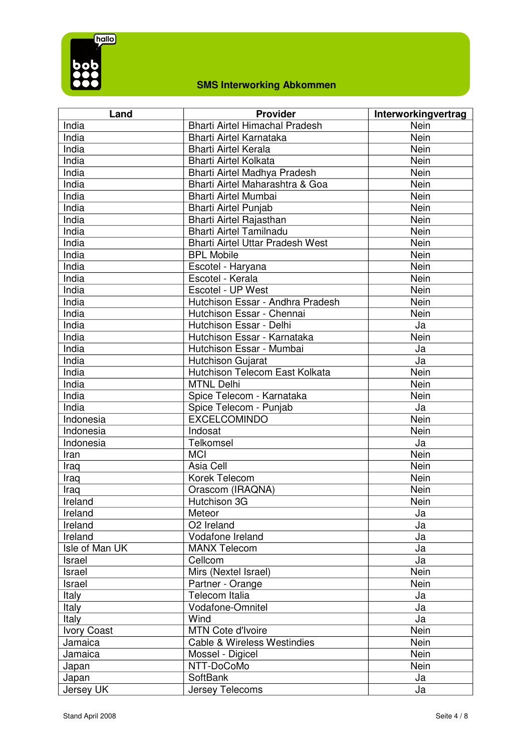

| Land               | <b>Provider</b>                         | Interworkingvertrag |
|--------------------|-----------------------------------------|---------------------|
| India              | <b>Bharti Airtel Himachal Pradesh</b>   | Nein                |
| India              | <b>Bharti Airtel Karnataka</b>          | Nein                |
| India              | <b>Bharti Airtel Kerala</b>             | Nein                |
| India              | <b>Bharti Airtel Kolkata</b>            | Nein                |
| India              | Bharti Airtel Madhya Pradesh            | Nein                |
| India              | Bharti Airtel Maharashtra & Goa         | Nein                |
| India              | Bharti Airtel Mumbai                    | Nein                |
| India              | <b>Bharti Airtel Punjab</b>             | Nein                |
| India              | Bharti Airtel Rajasthan                 | Nein                |
| India              | <b>Bharti Airtel Tamilnadu</b>          | Nein                |
| India              | <b>Bharti Airtel Uttar Pradesh West</b> | Nein                |
| India              | <b>BPL Mobile</b>                       | Nein                |
| India              | Escotel - Haryana                       | Nein                |
| India              | Escotel - Kerala                        | Nein                |
| India              | Escotel - UP West                       | Nein                |
| India              | Hutchison Essar - Andhra Pradesh        | Nein                |
| India              | Hutchison Essar - Chennai               | Nein                |
| India              | Hutchison Essar - Delhi                 | Ja                  |
| India              | Hutchison Essar - Karnataka             | Nein                |
| India              | Hutchison Essar - Mumbai                | Ja                  |
| India              | Hutchison Gujarat                       | Ja                  |
| India              | Hutchison Telecom East Kolkata          | Nein                |
| India              | <b>MTNL Delhi</b>                       | Nein                |
| India              | Spice Telecom - Karnataka               | Nein                |
| India              | Spice Telecom - Punjab                  | Ja                  |
| Indonesia          | <b>EXCELCOMINDO</b>                     | Nein                |
| Indonesia          | Indosat                                 | Nein                |
| Indonesia          | Telkomsel                               | Ja                  |
| Iran               | <b>MCI</b>                              | Nein                |
| Iraq               | Asia Cell                               | Nein                |
| Iraq               | Korek Telecom                           | Nein                |
| Iraq               | Orascom (IRAQNA)                        | Nein                |
| Ireland            | Hutchison 3G                            | Nein                |
| Ireland            | Meteor                                  | Ja                  |
| Ireland            | O <sub>2</sub> Ireland                  | Ja                  |
| Ireland            | Vodafone Ireland                        | Ja                  |
| Isle of Man UK     | <b>MANX Telecom</b>                     | Ja                  |
| Israel             | Cellcom                                 | Ja                  |
| Israel             | Mirs (Nextel Israel)                    | Nein                |
| Israel             | Partner - Orange                        | Nein                |
| Italy              | Telecom Italia                          | Ja                  |
| Italy              | Vodafone-Omnitel                        | Ja                  |
| Italy              | Wind                                    | Ja                  |
| <b>Ivory Coast</b> | <b>MTN Cote d'Ivoire</b>                | Nein                |
| Jamaica            | <b>Cable &amp; Wireless Westindies</b>  | Nein                |
| Jamaica            | Mossel - Digicel                        | Nein                |
| Japan              | NTT-DoCoMo                              | Nein                |
| Japan              | SoftBank                                | Ja                  |
| Jersey UK          | Jersey Telecoms                         | Ja                  |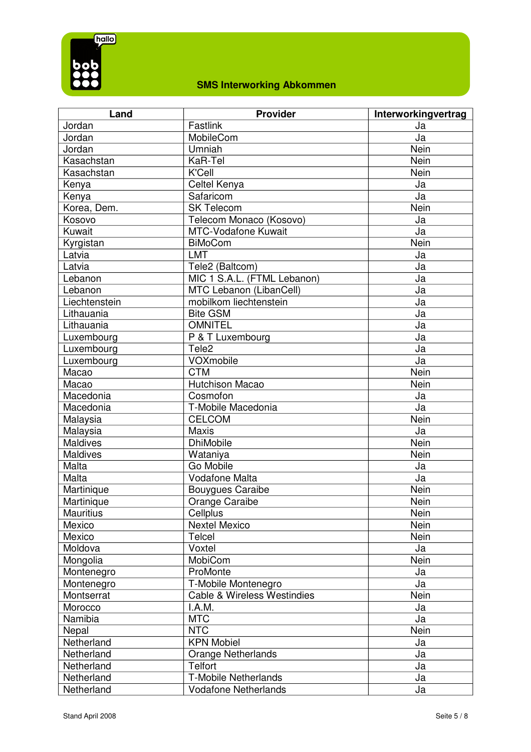

| Land             | <b>Provider</b>                        | Interworkingvertrag |
|------------------|----------------------------------------|---------------------|
| Jordan           | Fastlink                               | Ja                  |
| Jordan           | MobileCom                              | Ja                  |
| Jordan           | Umniah                                 | Nein                |
| Kasachstan       | KaR-Tel                                | Nein                |
| Kasachstan       | K'Cell                                 | <b>Nein</b>         |
| Kenya            | Celtel Kenya                           | Ja                  |
| Kenya            | Safaricom                              | Ja                  |
| Korea, Dem.      | <b>SK Telecom</b>                      | Nein                |
| Kosovo           | Telecom Monaco (Kosovo)                | Ja                  |
| Kuwait           | <b>MTC-Vodafone Kuwait</b>             | Ja                  |
| Kyrgistan        | <b>BiMoCom</b>                         | Nein                |
| Latvia           | <b>LMT</b>                             | Ja                  |
| Latvia           | Tele2 (Baltcom)                        | Ja                  |
| Lebanon          | MIC 1 S.A.L. (FTML Lebanon)            | Ja                  |
| Lebanon          | MTC Lebanon (LibanCell)                | Ja                  |
| Liechtenstein    | mobilkom liechtenstein                 | Ja                  |
| Lithauania       | <b>Bite GSM</b>                        | Ja                  |
| Lithauania       | <b>OMNITEL</b>                         | Ja                  |
| Luxembourg       | P & T Luxembourg                       | Ja                  |
| Luxembourg       | Tele <sub>2</sub>                      | Ja                  |
| Luxembourg       | VOXmobile                              | Ja                  |
| Macao            | <b>CTM</b>                             | Nein                |
| Macao            | <b>Hutchison Macao</b>                 | Nein                |
| Macedonia        | Cosmofon                               | Ja                  |
| Macedonia        | T-Mobile Macedonia                     | Ja                  |
| Malaysia         | <b>CELCOM</b>                          | Nein                |
| Malaysia         | <b>Maxis</b>                           | Ja                  |
| Maldives         | <b>DhiMobile</b>                       | Nein                |
| <b>Maldives</b>  | Wataniya                               | Nein                |
| Malta            | Go Mobile                              | Ja                  |
| Malta            | <b>Vodafone Malta</b>                  | Ja                  |
| Martinique       | <b>Bouygues Caraibe</b>                | Nein                |
| Martinique       | Orange Caraibe                         | Nein                |
| <b>Mauritius</b> | Cellplus                               | Nein                |
| Mexico           | <b>Nextel Mexico</b>                   | Nein                |
| Mexico           | <b>Telcel</b>                          | Nein                |
| Moldova          | Voxtel                                 | Ja                  |
| Mongolia         | MobiCom                                | Nein                |
| Montenegro       | ProMonte                               | Ja                  |
| Montenegro       | T-Mobile Montenegro                    | Ja                  |
| Montserrat       | <b>Cable &amp; Wireless Westindies</b> | Nein                |
| Morocco          | I.A.M.                                 | Ja                  |
| Namibia          | <b>MTC</b>                             | Ja                  |
| Nepal            | <b>NTC</b>                             | Nein                |
| Netherland       | <b>KPN Mobiel</b>                      | Ja                  |
| Netherland       | <b>Orange Netherlands</b>              | Ja                  |
| Netherland       | <b>Telfort</b>                         | Ja                  |
| Netherland       | <b>T-Mobile Netherlands</b>            | Ja                  |
| Netherland       | <b>Vodafone Netherlands</b>            | Ja                  |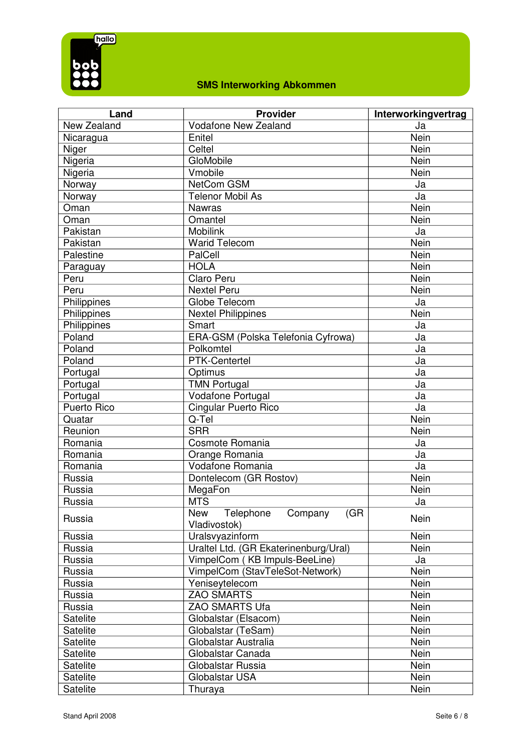

| Land        | <b>Provider</b>                                           | Interworkingvertrag |
|-------------|-----------------------------------------------------------|---------------------|
| New Zealand | <b>Vodafone New Zealand</b>                               | Ja                  |
| Nicaragua   | Enitel                                                    | Nein                |
| Niger       | Celtel                                                    | Nein                |
| Nigeria     | GloMobile                                                 | Nein                |
| Nigeria     | Vmobile                                                   | <b>Nein</b>         |
| Norway      | NetCom GSM                                                | Ja                  |
| Norway      | <b>Telenor Mobil As</b>                                   | Ja                  |
| Oman        | <b>Nawras</b>                                             | Nein                |
| Oman        | Omantel                                                   | Nein                |
| Pakistan    | <b>Mobilink</b>                                           | Ja                  |
| Pakistan    | <b>Warid Telecom</b>                                      | Nein                |
| Palestine   | PalCell                                                   | Nein                |
| Paraguay    | <b>HOLA</b>                                               | Nein                |
| Peru        | Claro Peru                                                | Nein                |
| Peru        | <b>Nextel Peru</b>                                        | Nein                |
| Philippines | Globe Telecom                                             | Ja                  |
| Philippines | <b>Nextel Philippines</b>                                 | Nein                |
| Philippines | Smart                                                     | Ja                  |
| Poland      | ERA-GSM (Polska Telefonia Cyfrowa)                        | Ja                  |
| Poland      | Polkomtel                                                 | Ja                  |
| Poland      | PTK-Centertel                                             | Ja                  |
| Portugal    | Optimus                                                   | Ja                  |
| Portugal    | <b>TMN Portugal</b>                                       | Ja                  |
| Portugal    | Vodafone Portugal                                         | Ja                  |
| Puerto Rico | Cingular Puerto Rico                                      | Ja                  |
| Quatar      | Q-Tel                                                     | Nein                |
| Reunion     | <b>SRR</b>                                                | Nein                |
| Romania     | Cosmote Romania                                           | Ja                  |
| Romania     | Orange Romania                                            | Ja                  |
| Romania     | Vodafone Romania                                          | Ja                  |
| Russia      | Dontelecom (GR Rostov)                                    | Nein                |
| Russia      | MegaFon                                                   | Nein                |
| Russia      | <b>MTS</b>                                                | Ja                  |
| Russia      | <b>New</b><br>Telephone<br>Company<br>(GR<br>Vladivostok) | <b>Nein</b>         |
| Russia      | Uralsvyazinform                                           | Nein                |
| Russia      | Uraltel Ltd. (GR Ekaterinenburg/Ural)                     | Nein                |
| Russia      | VimpelCom (KB Impuls-BeeLine)                             | Ja                  |
| Russia      | VimpelCom (StavTeleSot-Network)                           | Nein                |
| Russia      | Yeniseytelecom                                            | Nein                |
| Russia      | <b>ZAO SMARTS</b>                                         | Nein                |
| Russia      | <b>ZAO SMARTS Ufa</b>                                     | Nein                |
| Satelite    | Globalstar (Elsacom)                                      | Nein                |
| Satelite    | Globalstar (TeSam)                                        | Nein                |
| Satelite    | Globalstar Australia                                      | Nein                |
| Satelite    | Globalstar Canada                                         | Nein                |
| Satelite    | Globalstar Russia                                         | Nein                |
| Satelite    | Globalstar USA                                            | Nein                |
| Satelite    | Thuraya                                                   | Nein                |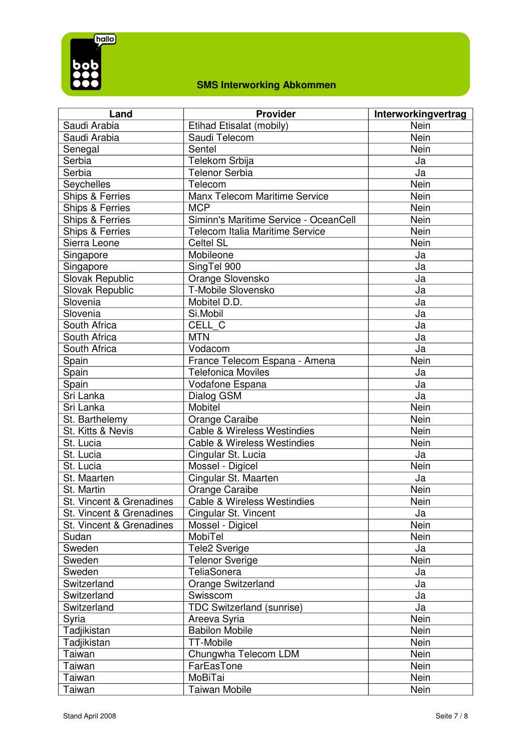

| Land                       | <b>Provider</b>                        | Interworkingvertrag |
|----------------------------|----------------------------------------|---------------------|
| Saudi Arabia               | Etihad Etisalat (mobily)               | Nein                |
| Saudi Arabia               | Saudi Telecom                          | Nein                |
| Senegal                    | Sentel                                 | Nein                |
| Serbia                     | Telekom Srbija                         | Ja                  |
| Serbia                     | <b>Telenor Serbia</b>                  | Ja                  |
| Seychelles                 | Telecom                                | Nein                |
| <b>Ships &amp; Ferries</b> | Manx Telecom Maritime Service          | Nein                |
| Ships & Ferries            | <b>MCP</b>                             | Nein                |
| Ships & Ferries            | Siminn's Maritime Service - OceanCell  | Nein                |
| Ships & Ferries            | Telecom Italia Maritime Service        | Nein                |
| Sierra Leone               | <b>Celtel SL</b>                       | Nein                |
| Singapore                  | Mobileone                              | Ja                  |
| Singapore                  | SingTel 900                            | Ja                  |
| Slovak Republic            | Orange Slovensko                       | Ja                  |
| Slovak Republic            | T-Mobile Slovensko                     | Ja                  |
| Slovenia                   | Mobitel D.D.                           | Ja                  |
| Slovenia                   | Si.Mobil                               | Ja                  |
| South Africa               | CELL C                                 | Ja                  |
| South Africa               | <b>MTN</b>                             | Ja                  |
| South Africa               | Vodacom                                | Ja                  |
| Spain                      | France Telecom Espana - Amena          | Nein                |
| Spain                      | <b>Telefonica Moviles</b>              | Ja                  |
| Spain                      | Vodafone Espana                        | Ja                  |
| Sri Lanka                  | Dialog GSM                             | Ja                  |
| Sri Lanka                  | Mobitel                                | Nein                |
| St. Barthelemy             | Orange Caraibe                         | Nein                |
| St. Kitts & Nevis          | <b>Cable &amp; Wireless Westindies</b> | Nein                |
| St. Lucia                  | <b>Cable &amp; Wireless Westindies</b> | Nein                |
| St. Lucia                  | Cingular St. Lucia                     | Ja                  |
| St. Lucia                  | Mossel - Digicel                       | Nein                |
| St. Maarten                | Cingular St. Maarten                   | Ja                  |
| St. Martin                 | Orange Caraibe                         | Nein                |
| St. Vincent & Grenadines   | Cable & Wireless Westindies            | Nein                |
| St. Vincent & Grenadines   | Cingular St. Vincent                   | Ja                  |
| St. Vincent & Grenadines   | Mossel - Digicel                       | Nein                |
| Sudan                      | MobiTel                                | Nein                |
| Sweden                     | <b>Tele2 Sverige</b>                   | Ja                  |
| Sweden                     | <b>Telenor Sverige</b>                 | Nein                |
| Sweden                     | TeliaSonera                            | Ja                  |
| Switzerland                | Orange Switzerland                     | Ja                  |
| Switzerland                | Swisscom                               | Ja                  |
| Switzerland                | <b>TDC Switzerland (sunrise)</b>       | Ja                  |
| Syria                      | Areeva Syria                           | Nein                |
| Tadjikistan                | <b>Babilon Mobile</b>                  | Nein                |
| Tadjikistan                | <b>TT-Mobile</b>                       | Nein                |
| Taiwan                     | Chungwha Telecom LDM                   | Nein                |
| Taiwan                     | FarEasTone                             | Nein                |
| Taiwan                     | MoBiTai                                | Nein                |
| Taiwan                     | <b>Taiwan Mobile</b>                   | Nein                |